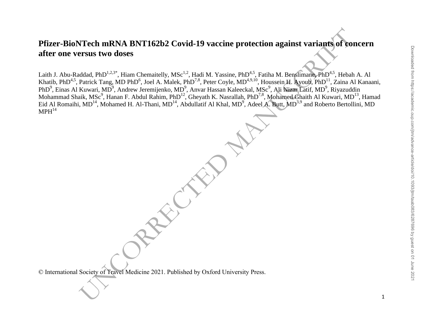# Downloaded from https://academic.oup.com/jtm/advance-article/doi/10.1093/jtm/taab083/6287696 by guest on 01 June 202 Downloaded from https://academic.oup.com/jtm/advance-article/doi/10.1093/jtm/taab083/6287696 by guest on 01 June 2021

# **Pfizer-BioNTech mRNA BNT162b2 Covid-19 vaccine protection against variants of concern after one versus two doses**

**SUREN THE SET IS CONSULTED AS CONSULTER CONSULTER CONSULTER AND CONSULTER SURFAINED CONSULTABLE TO A THE CONSULTER PROPERTY THE PARTICLE PRINCIPLE PRINCIPLE PRINCIPLE PRINCIPLE PRINCIPLE PRINCIPLE PRINCIPLE PRINCIPLE PRI** Laith J. Abu-Raddad, PhD<sup>1,2,3\*</sup>, Hiam Chemaitelly, MSc<sup>1,2</sup>, Hadi M. Yassine, PhD<sup>4,5</sup>, Fatiha M. Benslimane, PhD<sup>4,5</sup>, Hebah A. Al Khatib, PhD<sup>4,5</sup>, Patrick Tang, MD PhD<sup>6</sup>, Joel A. Malek, PhD<sup>7,8</sup>, Peter Coyle, MD<sup>4,9,10</sup>, Houssein H. Ayoub, PhD<sup>11</sup>, Zaina Al Kanaani, PhD<sup>9</sup>, Einas Al Kuwari, MD<sup>9</sup>, Andrew Jeremijenko, MD<sup>9</sup>, Anvar Hassan Kaleeckal, MSc<sup>9</sup>, Ali Nizar Latif, MD<sup>9</sup>, Riyazuddin Mohammad Shaik, MSc<sup>9</sup>, Hanan F. Abdul Rahim, PhD<sup>12</sup>, Gheyath K. Nasrallah, PhD<sup>7,8</sup>, Mohamed Ghaith Al Kuwari, MD<sup>13</sup>, Hamad Eid Al Romaihi, MD<sup>14</sup>, Mohamed H. Al-Thani, MD<sup>14</sup>, Abdullatif Al Khal, MD<sup>9</sup>, Adeel A. Butt, MD<sup>3,9</sup> and Roberto Bertollini, MD  $MPH<sup>14</sup>$ 

© International Society of Travel Medicine 2021. Published by Oxford University Press.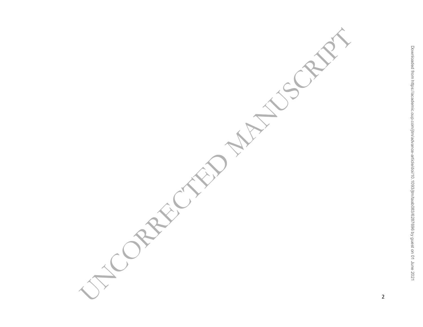NCORRECTED MANUSCRIPT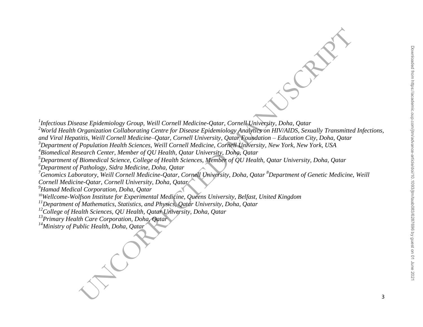*Infectious Disease Epidemiology Group, Weill Cornell Medicine-Qatar, Cornell University, Doha, Qatar*

*World Health Organization Collaborating Centre for Disease Epidemiology Analytics on HIV/AIDS, Sexually Transmitted Infections,* 

*and Viral Hepatitis, Weill Cornell Medicine–Qatar, Cornell University, Qatar Foundation – Education City, Doha, Qatar*

*Department of Population Health Sciences, Weill Cornell Medicine, Cornell University, New York, New York, USA*

*Biomedical Research Center, Member of QU Health, Qatar University, Doha, Qatar*

*Department of Biomedical Science, College of Health Sciences, Member of QU Health, Qatar University, Doha, Qatar*

*Department of Pathology, Sidra Medicine, Doha, Qatar*

ace Epistemiology Group, Well Cornell Medicine-Qatar, Cornell Linivergity, Doba, Qatar<br>Dreamization Collaborating Centre for Disease Epistemiology prolifering its, Noba Catar<br>itis, Well Cornell Medicine-Qatar, Cornell Univ *Genomics Laboratory, Weill Cornell Medicine-Qatar, Cornell University, Doha, Qatar <sup>8</sup>Department of Genetic Medicine, Weill* 

*Cornell Medicine-Qatar, Cornell University, Doha, Qatar*

*Hamad Medical Corporation, Doha, Qatar*

*Wellcome-Wolfson Institute for Experimental Medicine, Queens University, Belfast, United Kingdom*

*Department of Mathematics, Statistics, and Physics, Qatar University, Doha, Qatar*

*College of Health Sciences, QU Health, Qatar University, Doha, Qatar* 

*Primary Health Care Corporation, Doha, Qatar*

*Ministry of Public Health, Doha, Qatar*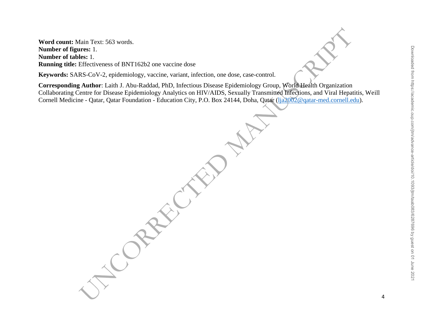**Word count:** Main Text: 563 words. **Number of figures:** 1. **Number of tables:** 1. **Running title:** Effectiveness of BNT162b2 one vaccine dose

**Keywords:** SARS-CoV-2, epidemiology, vaccine, variant, infection, one dose, case-control.

The Text: 563 words.<br>
Les: 1.<br>
Les: 1.<br>
RECOV-2, epidemiology, vuccine, vuriant, infection, one dose, case-control.<br>
RECOV-2, epidemiology, vuccine, vuriant, infection Diese Epidemiology Groop. World Health Organization<br>
L **Corresponding Author**: Laith J. Abu-Raddad, PhD, Infectious Disease Epidemiology Group, World Health Organization Collaborating Centre for Disease Epidemiology Analytics on HIV/AIDS, Sexually Transmitted Infections, and Viral Hepatitis, Weill Cornell Medicine - Qatar, Qatar Foundation - Education City, P.O. Box 24144, Doha, Qatar (lja2002@qatar-med.cornell.edu).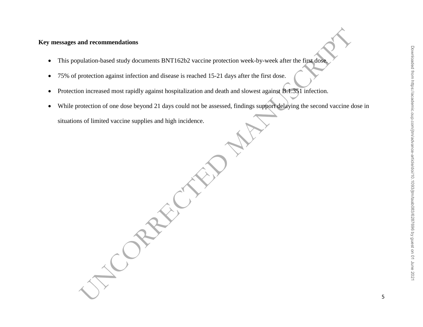### **Key messages and recommendations**

- This population-based study documents BNT162b2 vaccine protection week-by-week after the first dose.
- 75% of protection against infection and disease is reached 15-21 days after the first dose.
- Protection increased most rapidly against hospitalization and death and slowest against B.1.351 infection.
- and recommendations<br>
autation-hased study decuments BNT162b2 vaccine protection week-by-week after the first down<br>
on increased most rapidly against hospitalization and death and slowest against for the first down<br>
on incr While protection of one dose beyond 21 days could not be assessed, findings support delaying the second vaccine dose in situations of limited vaccine supplies and high incidence.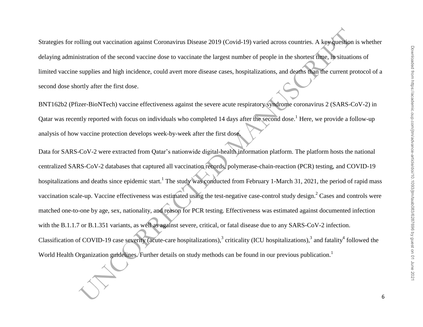Strategies for rolling out vaccination against Coronavirus Disease 2019 (Covid-19) varied across countries. A key question is whether delaying administration of the second vaccine dose to vaccinate the largest number of people in the shortest time, in situations of limited vaccine supplies and high incidence, could avert more disease cases, hospitalizations, and deaths than the current protocol of a second dose shortly after the first dose.

BNT162b2 (Pfizer-BioNTech) vaccine effectiveness against the severe acute respiratory syndrome coronavirus 2 (SARS-CoV-2) in Qatar was recently reported with focus on individuals who completed 14 days after the second dose.<sup>1</sup> Here, we provide a follow-up analysis of how vaccine protection develops week-by-week after the first dose.

between the second vaccination against Coronavirus Disease 2019 (Covid-19) varied across countries. A key question is<br>istration of the second vaccine dose to vaccinate the largest number of people in the shortest thus, mys Data for SARS-CoV-2 were extracted from Qatar's nationwide digital-health information platform. The platform hosts the national centralized SARS-CoV-2 databases that captured all vaccination records, polymerase-chain-reaction (PCR) testing, and COVID-19 hospitalizations and deaths since epidemic start.<sup>1</sup> The study was conducted from February 1-March 31, 2021, the period of rapid mass vaccination scale-up. Vaccine effectiveness was estimated using the test-negative case-control study design.<sup>2</sup> Cases and controls were matched one-to-one by age, sex, nationality, and reason for PCR testing. Effectiveness was estimated against documented infection with the B.1.1.7 or B.1.351 variants, as well as against severe, critical, or fatal disease due to any SARS-CoV-2 infection. Classification of COVID-19 case severity (acute-care hospitalizations),  $3$  criticality (ICU hospitalizations),  $3$  and fatality  $4$  followed the

World Health Organization guidelines. Further details on study methods can be found in our previous publication.<sup>1</sup>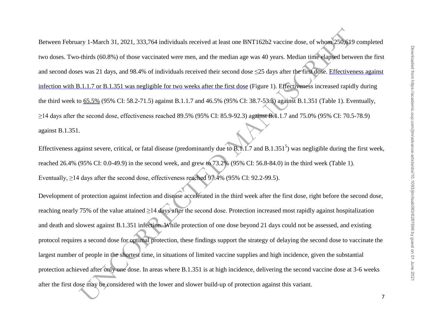Iry 1-March 31, 2021, 333,764 individuals received at least one BNT162b2 vaccine does, of whom 250(kJO c<br>1-thirds (60.8%) of those vaccinated were men, and the median age was 40 years. Median time elapsed between<br>8 was 21 Between February 1-March 31, 2021, 333,764 individuals received at least one BNT162b2 vaccine dose, of whom 250,619 completed two doses. Two-thirds (60.8%) of those vaccinated were men, and the median age was 40 years. Median time elapsed between the first and second doses was 21 days, and 98.4% of individuals received their second dose ≤25 days after the first dose. Effectiveness against infection with B.1.1.7 or B.1.351 was negligible for two weeks after the first dose (Figure 1). Effectiveness increased rapidly during the third week to 65.5% (95% CI: 58.2-71.5) against B.1.1.7 and 46.5% (95% CI: 38.7-53.3) against B.1.351 (Table 1). Eventually, ≥14 days after the second dose, effectiveness reached 89.5% (95% CI: 85.9-92.3) against B.1.1.7 and 75.0% (95% CI: 70.5-78.9) against B.1.351.

Effectiveness against severe, critical, or fatal disease (predominantly due to B.1.1.7 and B.1.351<sup>5</sup>) was negligible during the first week, reached 26.4% (95% CI: 0.0-49.9) in the second week, and grew to 73.2% (95% CI: 56.8-84.0) in the third week (Table 1). Eventually, ≥14 days after the second dose, effectiveness reached 97.4% (95% CI: 92.2-99.5).

Development of protection against infection and disease accelerated in the third week after the first dose, right before the second dose, reaching nearly 75% of the value attained ≥14 days after the second dose. Protection increased most rapidly against hospitalization and death and slowest against B.1.351 infection. While protection of one dose beyond 21 days could not be assessed, and existing protocol requires a second dose for optimal protection, these findings support the strategy of delaying the second dose to vaccinate the largest number of people in the shortest time, in situations of limited vaccine supplies and high incidence, given the substantial protection achieved after only one dose. In areas where B.1.351 is at high incidence, delivering the second vaccine dose at 3-6 weeks after the first dose may be considered with the lower and slower build-up of protection against this variant.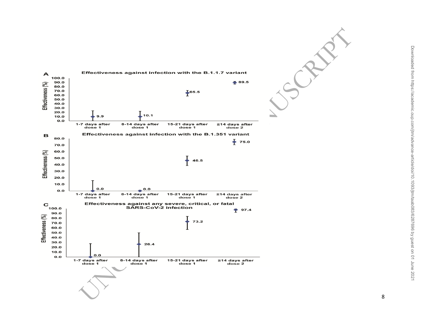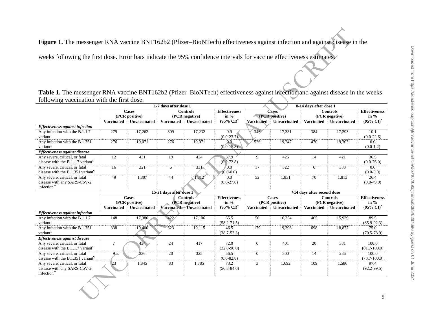| Figure 1. The messenger RNA vaccine BNT162b2 (Pfizer-BioNTech) effectiveness against infection and against disease in the      |                                |                         |                 |                         |                         |                                  |                                                 |                 |              |                           |
|--------------------------------------------------------------------------------------------------------------------------------|--------------------------------|-------------------------|-----------------|-------------------------|-------------------------|----------------------------------|-------------------------------------------------|-----------------|--------------|---------------------------|
| weeks following the first dose. Error bars indicate the 95% confidence intervals for vaccine effectiveness estimates.          |                                |                         |                 |                         |                         |                                  |                                                 |                 |              |                           |
| Table 1. The messenger RNA vaccine BNT162b2 (Pfizer-BioNTech) effectiveness against infection and against disease in the weeks |                                |                         |                 |                         |                         |                                  |                                                 |                 |              |                           |
| following vaccination with the first dose.                                                                                     |                                |                         |                 |                         |                         |                                  |                                                 |                 |              |                           |
| 1-7 days after dose 1                                                                                                          |                                |                         |                 |                         |                         | 8-14 days after dose 1           |                                                 |                 |              |                           |
|                                                                                                                                | <b>Cases</b>                   |                         | <b>Controls</b> |                         | <b>Effectiveness</b>    | Cases                            |                                                 | <b>Controls</b> |              | <b>Effectiveness</b>      |
|                                                                                                                                | (PCR positive)                 |                         | (PCR negative)  |                         | in $%$                  | (PCR positive)                   |                                                 | (PCR negative)  |              | in $%$                    |
|                                                                                                                                |                                | Vaccinated Unvaccinated |                 | Vaccinated Unvaccinated | $(95\% \text{ CI})^2$   |                                  | Vaccinated Unvaccinated Vaccinated Unvaccinated |                 |              | $(95\% \text{ CI})^2$     |
| <b>Effectiveness against infection</b>                                                                                         |                                |                         |                 |                         |                         |                                  |                                                 |                 |              |                           |
| Any infection with the B.1.1.7<br>variant <sup>†</sup>                                                                         | 279                            | 17,262                  | 309             | 17,232                  | 9.9<br>$(0.0-23.7)$     | 346                              | 17,331                                          | 384             | 17,293       | 10.1<br>$(0.0-22.6)$      |
| Any infection with the B.1.351<br>variant <sup>#</sup>                                                                         | 276                            | 19,071                  | 276             | 19,071                  | 0.0<br>$(0.0 - 15.8)$   | 526                              | 19,247                                          | 470             | 19,303       | $0.0\,$<br>$(0.0-1.2)$    |
| Effectiveness against disease                                                                                                  |                                |                         |                 |                         |                         |                                  |                                                 |                 |              |                           |
| Any severe, critical, or fatal<br>disease with the B.1.1.7 variant <sup>§</sup>                                                | 12                             | 431                     | 19              | 424                     | 37.9<br>$(0.0-72.8)$    | 9                                | 426                                             | 14              | 421          | 36.5<br>$(0.0-76.0)$      |
| Any severe, critical, or fatal<br>disease with the $B.1.351$ variant <sup>1</sup>                                              | 16                             | 321                     | 6               | 331                     | 0.0<br>$(0.0-0.0)$      | 17                               | 322                                             | 6               | 333          | 0.0<br>$(0.0-0.0)$        |
| Any severe, critical, or fatal<br>disease with any SARS-CoV-2                                                                  | 49                             | 1,807                   | 44              | 1,812                   | 0.0<br>$(0.0-27.6)$     | 52                               | 1,831                                           | 70              | 1,813        | 26.4<br>$(0.0-49.9)$      |
| infection**                                                                                                                    |                                |                         |                 |                         |                         |                                  |                                                 |                 |              |                           |
|                                                                                                                                | 15-21 days after dose 1        |                         |                 |                         |                         | $\geq$ 14 days after second dose |                                                 |                 |              |                           |
|                                                                                                                                | <b>Cases</b><br>(PCR positive) |                         | <b>Controls</b> |                         | <b>Effectiveness</b>    | <b>Cases</b>                     |                                                 | <b>Controls</b> |              | <b>Effectiveness</b>      |
|                                                                                                                                |                                |                         | (PCR negative)  |                         | in %                    | (PCR positive)                   |                                                 | (PCR negative)  |              | in $%$                    |
|                                                                                                                                | <b>Vaccinated</b>              | Unvaccinated            |                 | Vaccinated Unvaccinated | $(95\% \text{ CI})^3$   | Vaccinated                       | Unvaccinated                                    | Vaccinated      | Unvaccinated | $(95\% \text{ CI})^*$     |
| <b>Effectiveness against infection</b>                                                                                         |                                |                         |                 |                         |                         |                                  |                                                 |                 |              |                           |
| Any infection with the B.1.1.7<br>variant                                                                                      | 148                            | 17,380                  | 422             | 17,106                  | 65.5<br>$(58.2 - 71.5)$ | 50                               | 16,354                                          | 465             | 15,939       | 89.5<br>$(85.9-92.3)$     |
| Any infection with the B.1.351<br>variant <sup>‡</sup>                                                                         | 338                            | 19,400                  | 623             | 19,115                  | 46.5<br>$(38.7 - 53.3)$ | 179                              | 19,396                                          | 698             | 18,877       | 75.0<br>$(70.5 - 78.9)$   |
| Effectiveness against disease                                                                                                  |                                |                         |                 |                         |                         |                                  |                                                 |                 |              |                           |
| Any severe, critical, or fatal<br>disease with the B.1.1.7 variant <sup>§</sup>                                                | $\tau$                         | $434 -$                 | 24              | 417                     | 72.0<br>$(32.0 - 90.0)$ | $\overline{0}$                   | 401                                             | 20              | 381          | 100.0<br>$(81.7-100.0)$   |
| Any severe, critical, or fatal<br>disease with the B.1.351 variant <sup>1</sup>                                                | $9-$                           | 336                     | 20              | 325                     | 56.5<br>$(0.0 - 82.8)$  | $\overline{0}$                   | 300                                             | 14              | 286          | 100.0<br>$(73.7 - 100.0)$ |
| Any severe, critical, or fatal<br>disease with any SARS-CoV-2<br>infection**                                                   | 23                             | 1,845                   | 83              | 1,785                   | 73.2<br>$(56.8 - 84.0)$ | 3                                | 1,692                                           | 109             | 1,586        | 97.4<br>$(92.2 - 99.5)$   |
|                                                                                                                                |                                |                         |                 |                         |                         |                                  |                                                 |                 |              | 9                         |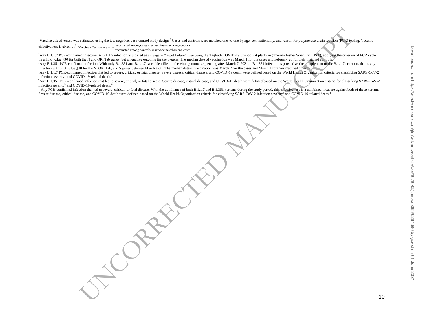\*Vaccine effectiveness was estimated using the test-negative, case-control study design.<sup>2</sup> Cases and controls were matched one-to-one by age, sex, nationality, and reason for polymerase chain reaction (PCR) testing. Vaccine Vaccine effectiveness was estimated using the test-negative, case-control study design.<sup>2</sup> Cases and controls effectiveness is given by<sup>2</sup> Vaccine effectiveness =  $1 - \frac{\text{vaccinated among cases} \times \text{unvaccinated among controls}}{\text{vaccinated among costs}}$ .

### vaccinated among controls  $\times$  unvaccinated among cases

UNCORRECTED MANUSCRIPT †Any B.1.1.7 PCR-confirmed infection. A B.1.1.7 infection is proxied as an S-gene "target failure" case using the TaqPath COVID-19 Combo Kit platform (Thermo Fisher Scientific, USA), applying the criterion of PCR cycle threshold value ≤30 for both the N and ORF1ab genes, but a negative outcome for the S-gene. The median date of vaccination was March 1 for the cases and February 28 for their matched controls.

‡Any B.1.351 PCR-confirmed infection. With only B.1.351 and B.1.1.7 cases identified in the viral genome sequencing after March 7, 2021, a B.1.351 infection is proxied as the complement of the B.1.1.7 criterion, that is any infection with a Ct value ≤30 for the N, ORF1ab, and S genes between March 8-31. The median date of vaccination was March 7 for the cases and March 1 for their matched controls.

<sup>§</sup>Any B.1.1.7 PCR-confirmed infection that led to severe, critical, or fatal disease. Severe disease, critical disease, and COVID-19 death were defined based on the World Health Organization criteria for classifying SARSinfection severity<sup>3</sup> and COVID-19-related death.<sup>4</sup>

<sup>1</sup>Any B.1.351 PCR-confirmed infection that led to severe, critical, or fatal disease. Severe disease, critical disease, and COVID-19 death were defined based on the World Health Organization criteria for classifying SARSinfection severity<sup>3</sup> and COVID-19-related death.<sup>4</sup>

\*\* Any PCR-confirmed infection that led to severe, critical, or fatal disease. With the dominance of both B.1.1.7 and B.1.351 variants during the study period, this effectiveness is a combined measure against both of these Severe disease, critical disease, and COVID-19 death were defined based on the World Health Organization criteria for classifying SARS-CoV-2 infection severity<sup>3</sup> and COVID-19-related death.<sup>4</sup>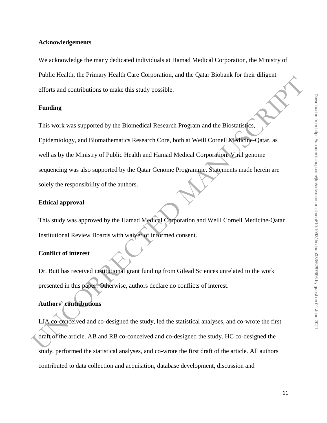We acknowledge the many dedicated individuals at Hamad Medical Corporation, the Ministry of Public Health, the Primary Health Care Corporation, and the Qatar Biobank for their diligent efforts and contributions to make this study possible.

### **Funding**

This work was supported by the Biomedical Research Program and the Biostatistics.<br>
This work was supported by the Biomedical Research Program and the Biostatistics.<br>
This work was supported by the Biomedical Research Progr This work was supported by the Biomedical Research Program and the Biostatistics, Epidemiology, and Biomathematics Research Core, both at Weill Cornell Medicine-Qatar, as well as by the Ministry of Public Health and Hamad Medical Corporation. Viral genome sequencing was also supported by the Qatar Genome Programme. Statements made herein are solely the responsibility of the authors.

## **Ethical approval**

This study was approved by the Hamad Medical Corporation and Weill Cornell Medicine-Qatar Institutional Review Boards with waiver of informed consent.

## **Conflict of interest**

Dr. Butt has received institutional grant funding from Gilead Sciences unrelated to the work presented in this paper. Otherwise, authors declare no conflicts of interest.

## **Authors' contributions**

LJA co-conceived and co-designed the study, led the statistical analyses, and co-wrote the first draft of the article. AB and RB co-conceived and co-designed the study. HC co-designed the study, performed the statistical analyses, and co-wrote the first draft of the article. All authors contributed to data collection and acquisition, database development, discussion and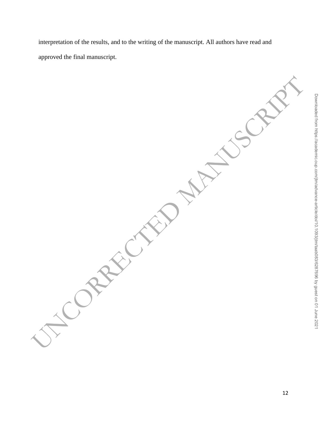interpretation of the results, and to the writing of the manuscript. All authors have read and approved the final manuscript.

UNCORRECTED MANUSCRIPT